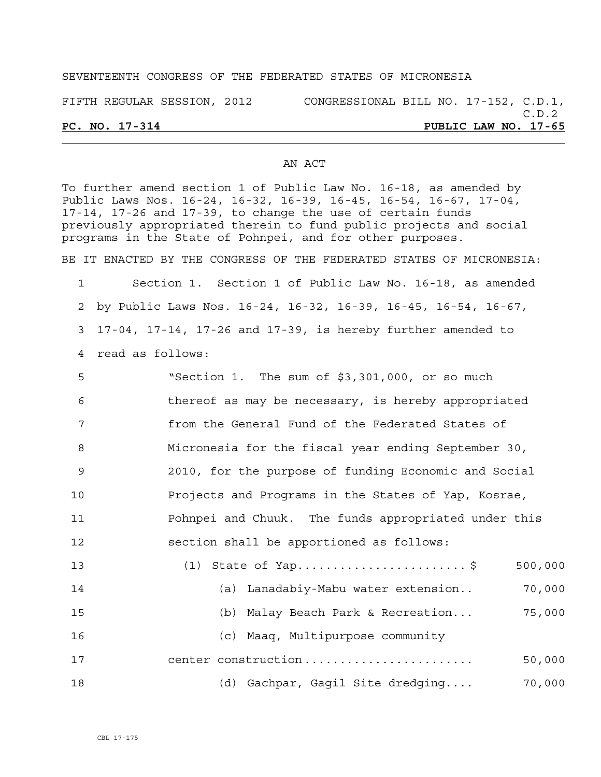## SEVENTEENTH CONGRESS OF THE FEDERATED STATES OF MICRONESIA

FIFTH REGULAR SESSION, 2012 CONGRESSIONAL BILL NO. 17-152, C.D.1,

## AN ACT

To further amend section 1 of Public Law No. 16-18, as amended by Public Laws Nos. 16-24, 16-32, 16-39, 16-45, 16-54, 16-67, 17-04, 17-14, 17-26 and 17-39, to change the use of certain funds previously appropriated therein to fund public projects and social programs in the State of Pohnpei, and for other purposes. BE IT ENACTED BY THE CONGRESS OF THE FEDERATED STATES OF MICRONESIA:

1 Section 1. Section 1 of Public Law No. 16-18, as amended 2 by Public Laws Nos. 16-24, 16-32, 16-39, 16-45, 16-54, 16-67, 3 17-04, 17-14, 17-26 and 17-39, is hereby further amended to 4 read as follows:

| 5   | "Section 1. The sum of \$3,301,000, or so much       |
|-----|------------------------------------------------------|
| 6   | thereof as may be necessary, is hereby appropriated  |
| 7   | from the General Fund of the Federated States of     |
| 8   | Micronesia for the fiscal year ending September 30,  |
| - 9 | 2010, for the purpose of funding Economic and Social |
| 10  | Projects and Programs in the States of Yap, Kosrae,  |
| 11  | Pohnpei and Chuuk. The funds appropriated under this |
| 12  | section shall be apportioned as follows:             |
| 13  | $(1)$ State of Yap\$<br>500,000                      |
| 14  | (a) Lanadabiy-Mabu water extension<br>70,000         |

| 15 |  |                                  | (b) Malay Beach Park & Recreation | 75,000 |
|----|--|----------------------------------|-----------------------------------|--------|
| 16 |  | (c) Maaq, Multipurpose community |                                   |        |

17 center construction ........................ 50,000 18 (d) Gachpar, Gagil Site dredging.... 70,000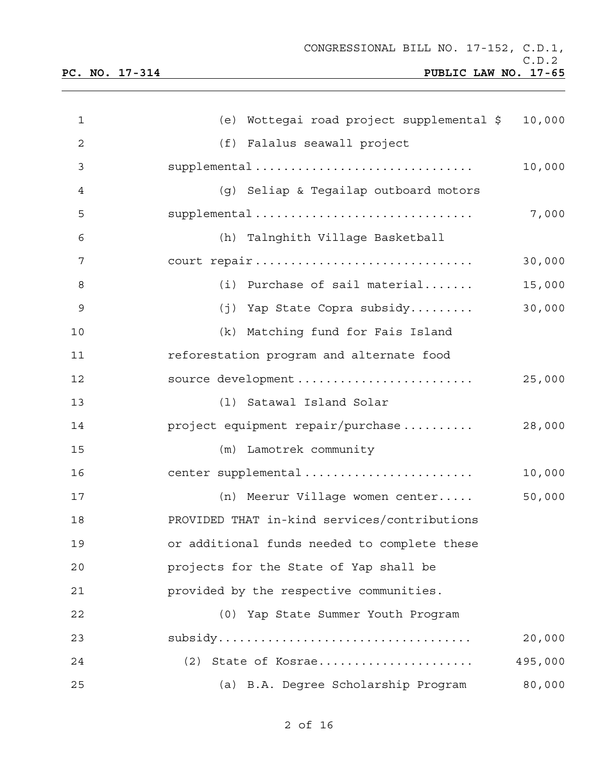| 1              | (e) Wottegai road project supplemental \$    | 10,000  |
|----------------|----------------------------------------------|---------|
| $\overline{2}$ | (f) Falalus seawall project                  |         |
| 3              | supplemental                                 | 10,000  |
| 4              | (g) Seliap & Tegailap outboard motors        |         |
| 5              | supplemental                                 | 7,000   |
| 6              | (h) Talnghith Village Basketball             |         |
| 7              | court repair                                 | 30,000  |
| 8              | (i) Purchase of sail material                | 15,000  |
| 9              | (j) Yap State Copra subsidy                  | 30,000  |
| 10             | (k) Matching fund for Fais Island            |         |
| 11             | reforestation program and alternate food     |         |
| 12             | source development                           | 25,000  |
| 13             | Satawal Island Solar<br>(1)                  |         |
| 14             | project equipment repair/purchase            | 28,000  |
| 15             | (m) Lamotrek community                       |         |
| 16             | center supplemental                          | 10,000  |
| 17             | (n) Meerur Village women center              | 50,000  |
| 18             | PROVIDED THAT in-kind services/contributions |         |
| 19             | or additional funds needed to complete these |         |
| 20             | projects for the State of Yap shall be       |         |
| 21             | provided by the respective communities.      |         |
| 22             | (0) Yap State Summer Youth Program           |         |
| 23             |                                              | 20,000  |
| 24             | (2) State of Kosrae                          | 495,000 |
| 25             | (a) B.A. Degree Scholarship Program          | 80,000  |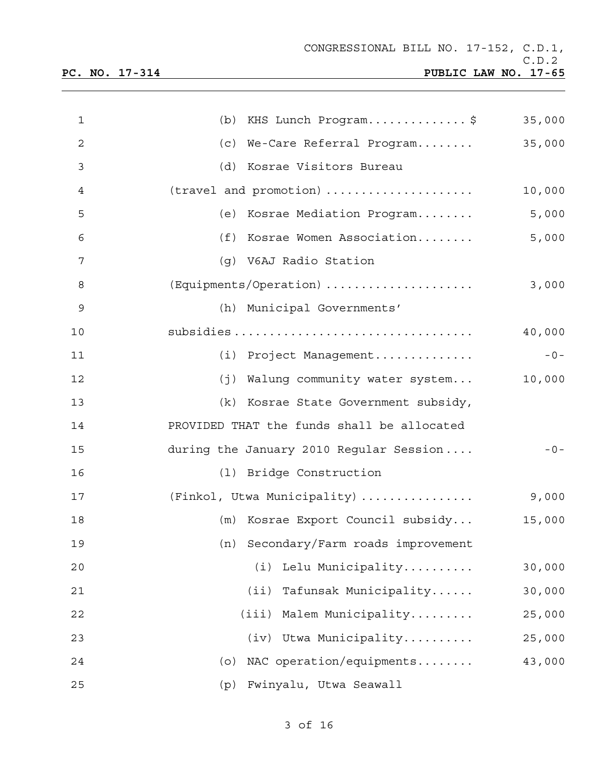| $\mathbf{1}$ | (b) KHS Lunch Program\$                    | 35,000 |
|--------------|--------------------------------------------|--------|
| 2            | (c) We-Care Referral Program               | 35,000 |
| 3            | (d) Kosrae Visitors Bureau                 |        |
| 4            | (travel and promotion)                     | 10,000 |
| 5            | (e) Kosrae Mediation Program               | 5,000  |
| 6            | (f) Kosrae Women Association               | 5,000  |
| 7            | (g) V6AJ Radio Station                     |        |
| 8            | (Equipments/Operation)                     | 3,000  |
| 9            | (h) Municipal Governments'                 |        |
| 10           |                                            | 40,000 |
| 11           | (i) Project Management                     | $-0-$  |
| 12           | (j) Walung community water system          | 10,000 |
| 13           | (k) Kosrae State Government subsidy,       |        |
| 14           | PROVIDED THAT the funds shall be allocated |        |
| 15           | during the January 2010 Regular Session    | $-0-$  |
| 16           | (1) Bridge Construction                    |        |
| 17           | (Finkol, Utwa Municipality)                | 9,000  |
| 18           | (m) Kosrae Export Council subsidy          | 15,000 |
| 19           | (n) Secondary/Farm roads improvement       |        |
| 20           | Lelu Municipality<br>(i)                   | 30,000 |
| 21           | (i <sub>i</sub> )<br>Tafunsak Municipality | 30,000 |
| 22           | Malem Municipality<br>(iii)                | 25,000 |
| 23           | Utwa Municipality<br>(iv)                  | 25,000 |
| 24           | NAC operation/equipments<br>(0)            | 43,000 |
| 25           | Fwinyalu, Utwa Seawall<br>(p)              |        |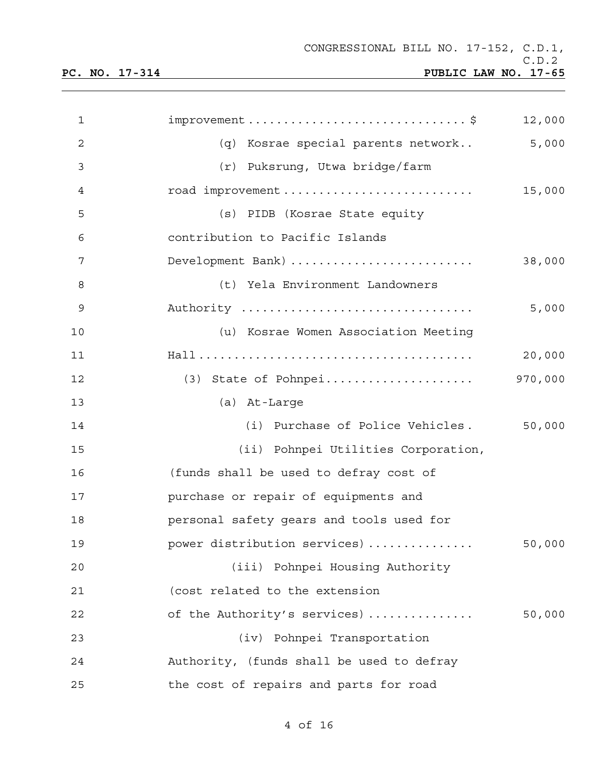| $\mathbf 1$  | $improvement \ldots \ldots \ldots \ldots \ldots \ldots \ldots \ldots \ldots \$ | 12,000  |
|--------------|--------------------------------------------------------------------------------|---------|
| $\mathbf{2}$ | (q) Kosrae special parents network                                             | 5,000   |
| 3            | (r) Puksrung, Utwa bridge/farm                                                 |         |
| 4            | road improvement                                                               | 15,000  |
| 5            | (s) PIDB (Kosrae State equity                                                  |         |
| 6            | contribution to Pacific Islands                                                |         |
| 7            | Development Bank)                                                              | 38,000  |
| 8            | (t) Yela Environment Landowners                                                |         |
| 9            | Authority                                                                      | 5,000   |
| 10           | (u) Kosrae Women Association Meeting                                           |         |
| 11           |                                                                                | 20,000  |
| 12           | (3) State of Pohnpei                                                           | 970,000 |
| 13           | (a) At-Large                                                                   |         |
| 14           | (i) Purchase of Police Vehicles.                                               | 50,000  |
| 15           | (ii) Pohnpei Utilities Corporation,                                            |         |
| 16           | (funds shall be used to defray cost of                                         |         |
| 17           | purchase or repair of equipments and                                           |         |
| 18           | personal safety gears and tools used for                                       |         |
| 19           | power distribution services)                                                   | 50,000  |
| 20           | (iii) Pohnpei Housing Authority                                                |         |
| 21           | (cost related to the extension                                                 |         |
| 22           | of the Authority's services)                                                   | 50,000  |
| 23           | (iv) Pohnpei Transportation                                                    |         |
| 24           | Authority, (funds shall be used to defray                                      |         |
| 25           | the cost of repairs and parts for road                                         |         |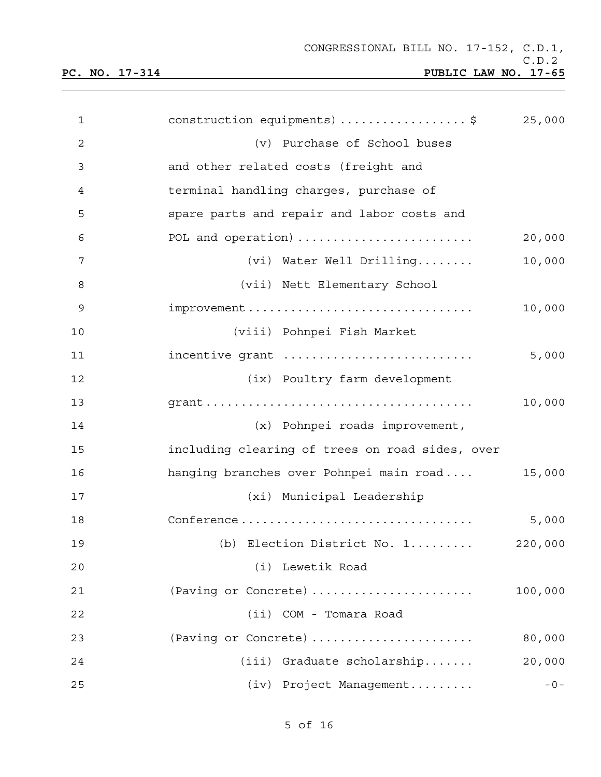| $\mathbf{1}$ | construction equipments) \$                     | 25,000  |
|--------------|-------------------------------------------------|---------|
| 2            | (v) Purchase of School buses                    |         |
| 3            | and other related costs (freight and            |         |
| 4            | terminal handling charges, purchase of          |         |
| 5            | spare parts and repair and labor costs and      |         |
| 6            | POL and operation)                              | 20,000  |
| 7            | (vi) Water Well Drilling                        | 10,000  |
| 8            | (vii) Nett Elementary School                    |         |
| 9            |                                                 | 10,000  |
| 10           | (viii) Pohnpei Fish Market                      |         |
| 11           | incentive grant                                 | 5,000   |
| 12           | (ix) Poultry farm development                   |         |
| 13           |                                                 | 10,000  |
| 14           | (x) Pohnpei roads improvement,                  |         |
| 15           | including clearing of trees on road sides, over |         |
| 16           | hanging branches over Pohnpei main road         | 15,000  |
| 17           | (xi) Municipal Leadership                       |         |
| 18           | Conference                                      | 5,000   |
| 19           | (b) Election District No. 1                     | 220,000 |
| 20           | (i) Lewetik Road                                |         |
| 21           | (Paving or Concrete)                            | 100,000 |
| 22           | (ii) COM - Tomara Road                          |         |
| 23           | (Paving or Concrete)                            | 80,000  |
| 24           | (iii) Graduate scholarship                      | 20,000  |
| 25           | (iv) Project Management                         | $-0-$   |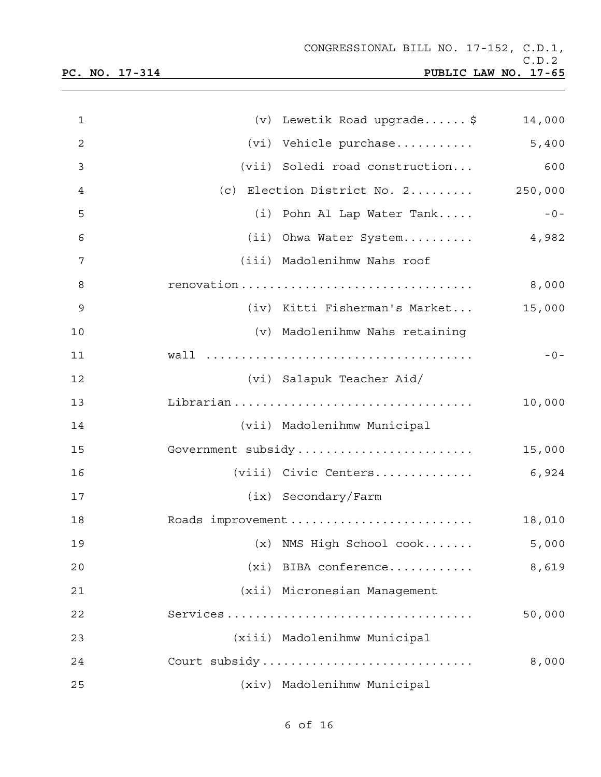| $\mathbf{1}$   | (v) Lewetik Road upgrade \$                         | 14,000 |
|----------------|-----------------------------------------------------|--------|
| $\overline{c}$ | (vi) Vehicle purchase 5,400                         |        |
| 3              | (vii) Soledi road construction                      | 600    |
| 4              | (c) Election District No. $2 \ldots \ldots$ 250,000 |        |
| 5              | (i) Pohn Al Lap Water Tank                          | $-0-$  |
| 6              | (ii) Ohwa Water System 4,982                        |        |
| 7              | (iii) Madolenihmw Nahs roof                         |        |
| 8              | renovation                                          | 8,000  |
| 9              | (iv) Kitti Fisherman's Market                       | 15,000 |
| 10             | (v) Madolenihmw Nahs retaining                      |        |
| 11             |                                                     | $-0-$  |
| 12             | (vi) Salapuk Teacher Aid/                           |        |
| 13             |                                                     | 10,000 |
| 14             | (vii) Madolenihmw Municipal                         |        |
| 15             | Government subsidy                                  | 15,000 |
| 16             | (viii) Civic Centers                                | 6,924  |
| 17             | (ix) Secondary/Farm                                 |        |
| 18             | Roads improvement                                   | 18,010 |
| 19             | (x) NMS High School cook                            | 5,000  |
| 20             | $(xi)$ BIBA conference                              | 8,619  |
| 21             | (xii) Micronesian Management                        |        |
| 22             | Services                                            | 50,000 |
| 23             | (xiii) Madolenihmw Municipal                        |        |
| 24             | Court subsidy                                       | 8,000  |
| 25             | (xiv) Madolenihmw Municipal                         |        |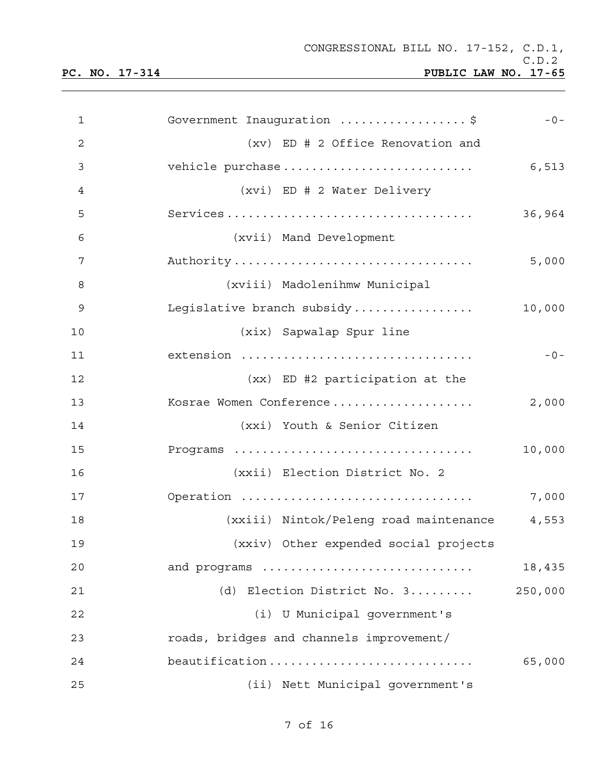| 1              | Government Inauguration \$               | $-0-$   |
|----------------|------------------------------------------|---------|
| $\overline{c}$ | (xv) ED # 2 Office Renovation and        |         |
| 3              |                                          | 6,513   |
| $\overline{4}$ | (xvi) ED # 2 Water Delivery              |         |
| 5              |                                          | 36,964  |
| 6              | (xvii) Mand Development                  |         |
| 7              | Authority                                | 5,000   |
| 8              | (xviii) Madolenihmw Municipal            |         |
| 9              | Legislative branch subsidy               | 10,000  |
| 10             | (xix) Sapwalap Spur line                 |         |
| 11             | extension                                | $-0-$   |
| 12             | (xx) ED #2 participation at the          |         |
| 13             | Kosrae Women Conference                  | 2,000   |
| 14             | (xxi) Youth & Senior Citizen             |         |
| 15             |                                          | 10,000  |
| 16             | (xxii) Election District No. 2           |         |
| 17             | Operation                                | 7,000   |
| 18             | (xxiii) Nintok/Peleng road maintenance   | 4,553   |
| 19             | (xxiv) Other expended social projects    |         |
| 20             | and programs                             | 18,435  |
| 21             | Election District No. 3<br>(d)           | 250,000 |
| 22             | (i) U Municipal government's             |         |
| 23             | roads, bridges and channels improvement/ |         |
| 24             | beautification                           | 65,000  |
| 25             | (ii) Nett Municipal government's         |         |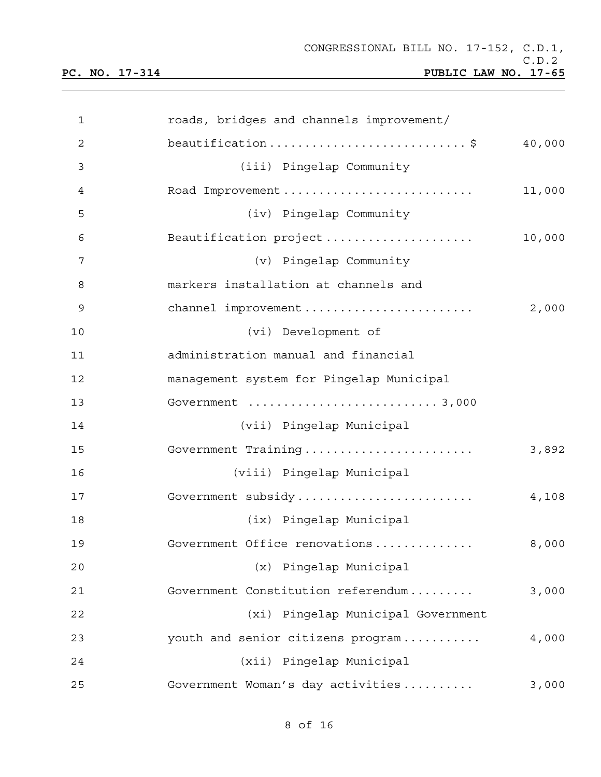| 1              | roads, bridges and channels improvement/    |
|----------------|---------------------------------------------|
| $\overline{c}$ | beautification\$<br>40,000                  |
| 3              | (iii) Pingelap Community                    |
| 4              | Road Improvement<br>11,000                  |
| 5              | (iv) Pingelap Community                     |
| 6              | Beautification project<br>10,000            |
| 7              | (v) Pingelap Community                      |
| 8              | markers installation at channels and        |
| $\mathsf 9$    | channel improvement<br>2,000                |
| 10             | (vi) Development of                         |
| 11             | administration manual and financial         |
| 12             | management system for Pingelap Municipal    |
| 13             |                                             |
| 14             | (vii) Pingelap Municipal                    |
| 15             | Government Training<br>3,892                |
| 16             | (viii) Pingelap Municipal                   |
| 17             | Government subsidy<br>4,108                 |
| 18             | (ix) Pingelap Municipal                     |
| 19             | Government Office renovations<br>8,000      |
| 20             | (x) Pingelap Municipal                      |
| 21             | Government Constitution referendum<br>3,000 |
| 22             | (xi) Pingelap Municipal Government          |
| 23             | youth and senior citizens program<br>4,000  |
| 24             | (xii) Pingelap Municipal                    |
| 25             | Government Woman's day activities<br>3,000  |

8 of 16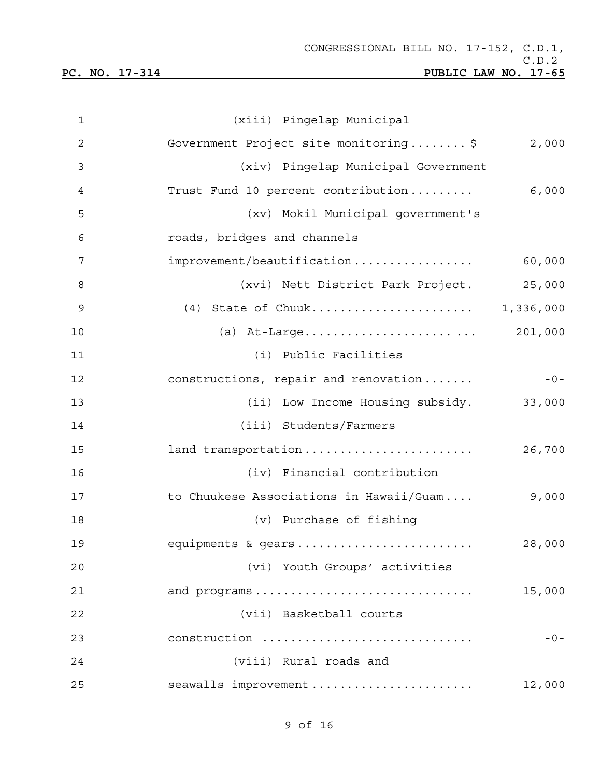| $\mathbf{1}$ | (xiii) Pingelap Municipal               |         |
|--------------|-----------------------------------------|---------|
| 2            | Government Project site monitoring\$    | 2,000   |
| 3            | (xiv) Pingelap Municipal Government     |         |
| 4            | Trust Fund 10 percent contribution      | 6,000   |
| 5            | (xv) Mokil Municipal government's       |         |
| 6            | roads, bridges and channels             |         |
| 7            | improvement/beautification              | 60,000  |
| 8            | (xvi) Nett District Park Project.       | 25,000  |
| 9            | (4) State of Chuuk 1,336,000            |         |
| 10           |                                         | 201,000 |
| 11           | (i) Public Facilities                   |         |
| 12           | constructions, repair and renovation    | $-0-$   |
| 13           | (ii) Low Income Housing subsidy.        | 33,000  |
| 14           | (iii) Students/Farmers                  |         |
| 15           | land transportation                     | 26,700  |
| 16           | (iv) Financial contribution             |         |
| 17           | to Chuukese Associations in Hawaii/Guam | 9,000   |
| 18           | (v) Purchase of fishing                 |         |
| 19           | equipments & gears                      | 28,000  |
| 20           | (vi) Youth Groups' activities           |         |
| 21           | and programs                            | 15,000  |
| 22           | (vii) Basketball courts                 |         |
| 23           | construction                            | $-0-$   |
| 24           | (viii) Rural roads and                  |         |
| 25           | seawalls improvement                    | 12,000  |

9 of 16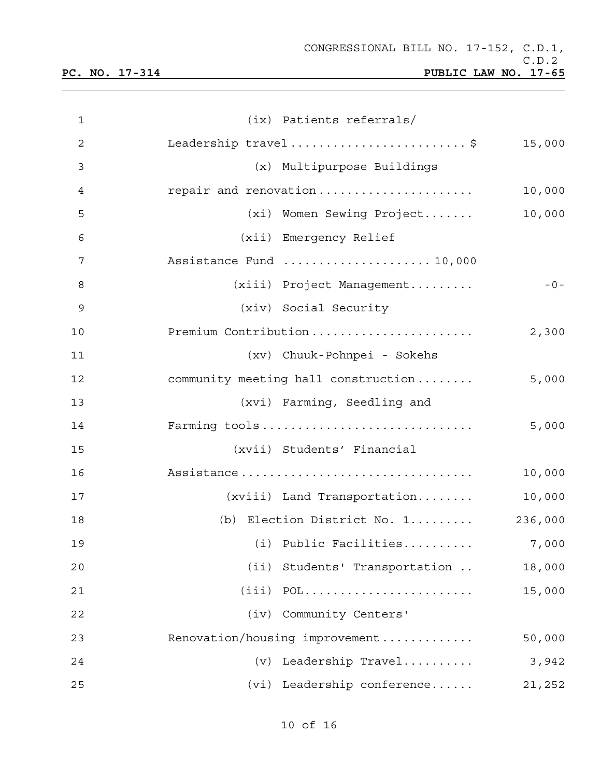| $\mathbf{1}$   |                        | (ix) Patients referrals/                     |  |
|----------------|------------------------|----------------------------------------------|--|
| $\overline{c}$ |                        | Leadership travel\$<br>15,000                |  |
| 3              |                        | (x) Multipurpose Buildings                   |  |
| 4              |                        | repair and renovation<br>10,000              |  |
| 5              |                        | 10,000<br>(xi) Women Sewing Project          |  |
| 6              | (xii) Emergency Relief |                                              |  |
| 7              |                        | Assistance Fund  10,000                      |  |
| 8              |                        | (xiii) Project Management<br>$-0-$           |  |
| 9              | (xiv) Social Security  |                                              |  |
| 10             |                        | Premium Contribution<br>2,300                |  |
| 11             |                        | (xv) Chuuk-Pohnpei - Sokehs                  |  |
| 12             |                        | 5,000<br>community meeting hall construction |  |
| 13             |                        | (xvi) Farming, Seedling and                  |  |
| 14             |                        | Farming tools<br>5,000                       |  |
| 15             |                        | (xvii) Students' Financial                   |  |
| 16             |                        | Assistance<br>10,000                         |  |
| 17             |                        | $(xviii)$ Land Transportation<br>10,000      |  |
| 18             |                        | (b) Election District No. 1<br>236,000       |  |
| 19             |                        | (i) Public Facilities<br>7,000               |  |
| 20             |                        | (ii) Students' Transportation<br>18,000      |  |
| 21             |                        | $(iii)$ POL<br>15,000                        |  |
| 22             |                        | (iv) Community Centers'                      |  |
| 23             |                        | Renovation/housing improvement<br>50,000     |  |
| 24             |                        | (v) Leadership Travel<br>3,942               |  |
| 25             |                        | (vi) Leadership conference<br>21,252         |  |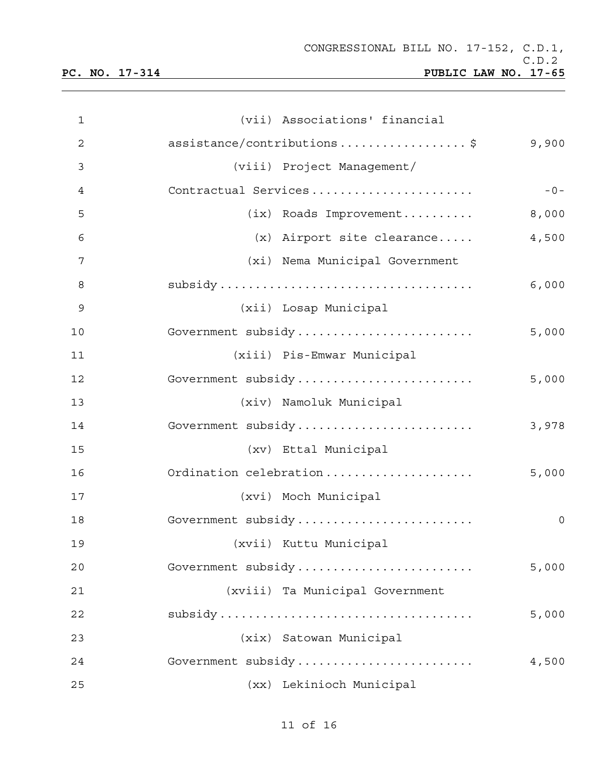| 1  | (vii) Associations' financial             |
|----|-------------------------------------------|
| 2  | assistance/contributions\$<br>9,900       |
| 3  | (viii) Project Management/                |
| 4  | Contractual Services<br>$-0-$             |
| 5  | (ix) Roads Improvement<br>8,000           |
| 6  | 4,500<br>$(x)$ Airport site clearance     |
| 7  | (xi) Nema Municipal Government            |
| 8  | 6,000                                     |
| 9  | (xii) Losap Municipal                     |
| 10 | Government subsidy<br>5,000               |
| 11 | (xiii) Pis-Emwar Municipal                |
| 12 | Government subsidy<br>5,000               |
| 13 | (xiv) Namoluk Municipal                   |
| 14 | Government subsidy<br>3,978               |
| 15 | (xv) Ettal Municipal                      |
| 16 | Ordination celebration<br>5,000           |
| 17 | (xvi) Moch Municipal                      |
| 18 | Government subsidy<br>$\mathsf{O}\xspace$ |
| 19 | (xvii) Kuttu Municipal                    |
| 20 | Government subsidy<br>5,000               |
| 21 | (xviii) Ta Municipal Government           |
| 22 | 5,000                                     |
| 23 | (xix) Satowan Municipal                   |
| 24 | Government subsidy<br>4,500               |
| 25 | (xx) Lekinioch Municipal                  |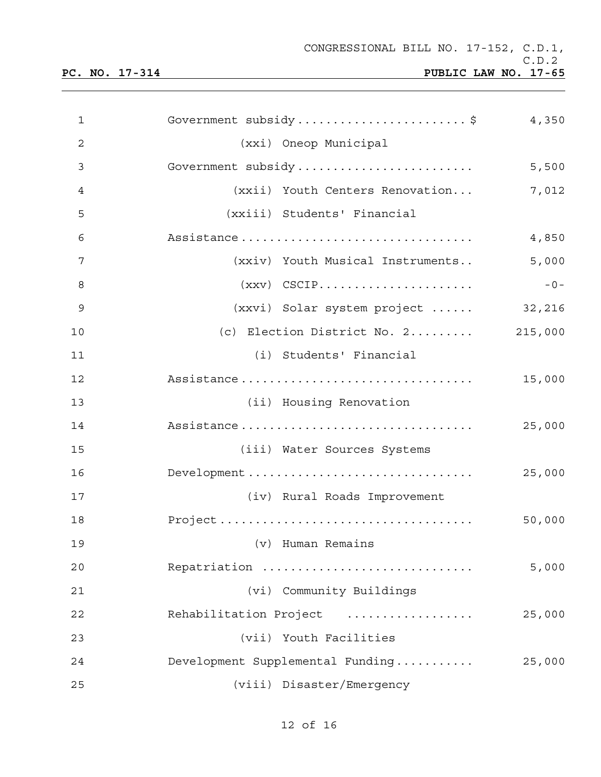| 1            | Government subsidy\$ 4,350                          |        |
|--------------|-----------------------------------------------------|--------|
| $\mathbf{2}$ | (xxi) Oneop Municipal                               |        |
| 3            | Government subsidy                                  | 5,500  |
| 4            | (xxii) Youth Centers Renovation                     | 7,012  |
| 5            | (xxiii) Students' Financial                         |        |
| 6            | Assistance                                          | 4,850  |
| 7            | (xxiv) Youth Musical Instruments                    | 5,000  |
| 8            | $(xxy)$ CSCIP                                       | $-0-$  |
| 9            | (xxvi) Solar system project                         | 32,216 |
| 10           | (c) Election District No. $2 \ldots \ldots$ 215,000 |        |
| 11           | (i) Students' Financial                             |        |
| 12           | Assistance                                          | 15,000 |
| 13           | (ii) Housing Renovation                             |        |
| 14           | Assistance                                          | 25,000 |
| 15           | (iii) Water Sources Systems                         |        |
| 16           | Development                                         | 25,000 |
| 17           | (iv) Rural Roads Improvement                        |        |
| 18           |                                                     | 50,000 |
| 19           | (v) Human Remains                                   |        |
| 20           | Repatriation                                        | 5,000  |
| 21           | (vi) Community Buildings                            |        |
| 22           | Rehabilitation Project                              | 25,000 |
| 23           | (vii) Youth Facilities                              |        |
| 24           | Development Supplemental Funding                    | 25,000 |
| 25           | (viii) Disaster/Emergency                           |        |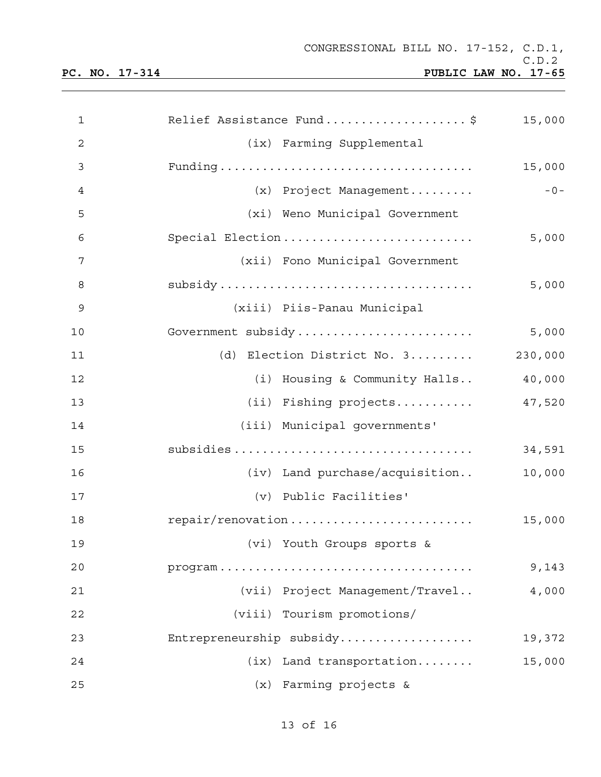| $\mathbf{1}$ | Relief Assistance Fund\$        | 15,000  |
|--------------|---------------------------------|---------|
| 2            | (ix) Farming Supplemental       |         |
| 3            |                                 | 15,000  |
| 4            | (x) Project Management          | $-0-$   |
| 5            | (xi) Weno Municipal Government  |         |
| 6            | Special Election                | 5,000   |
| 7            | (xii) Fono Municipal Government |         |
| 8            |                                 | 5,000   |
| 9            | (xiii) Piis-Panau Municipal     |         |
| 10           | Government subsidy              | 5,000   |
| 11           | (d) Election District No. 3     | 230,000 |
| 12           | (i) Housing & Community Halls   | 40,000  |
| 13           | (ii) Fishing projects           | 47,520  |
| 14           | (iii) Municipal governments'    |         |
| 15           |                                 | 34,591  |
| 16           | (iv) Land purchase/acquisition  | 10,000  |
| 17           | (v) Public Facilities'          |         |
| 18           | repair/renovation               | 15,000  |
| 19           | (vi) Youth Groups sports &      |         |
| 20           |                                 | 9,143   |
| 21           | (vii) Project Management/Travel | 4,000   |
| 22           | (viii) Tourism promotions/      |         |
| 23           | Entrepreneurship subsidy        | 19,372  |
| 24           | Land transportation<br>(ix)     | 15,000  |
| 25           | (x) Farming projects &          |         |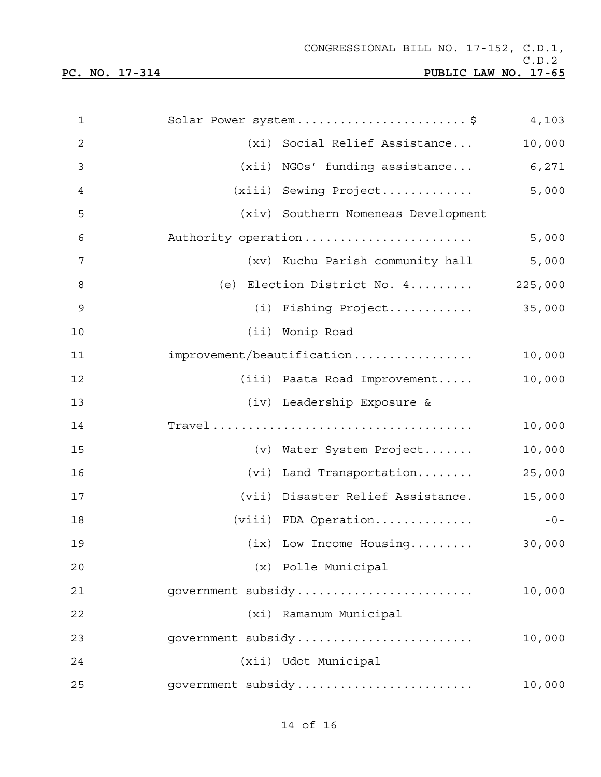| 1            | Solar Power system\$                                | 4,103  |
|--------------|-----------------------------------------------------|--------|
| $\mathbf{2}$ | (xi) Social Relief Assistance                       | 10,000 |
| 3            | (xii) NGOs' funding assistance                      | 6,271  |
| 4            | (xiii) Sewing Project                               | 5,000  |
| 5            | (xiv) Southern Nomeneas Development                 |        |
| 6            | Authority operation                                 | 5,000  |
| 7            | (xv) Kuchu Parish community hall                    | 5,000  |
| 8            | (e) Election District No. $4 \ldots \ldots$ 225,000 |        |
| 9            | (i) Fishing Project                                 | 35,000 |
| 10           | (ii) Wonip Road                                     |        |
| 11           | improvement/beautification                          | 10,000 |
| 12           | (iii) Paata Road Improvement                        | 10,000 |
| 13           | (iv) Leadership Exposure &                          |        |
| 14           |                                                     | 10,000 |
| 15           | (v) Water System Project                            | 10,000 |
| 16           | (vi) Land Transportation                            | 25,000 |
| 17           | (vii) Disaster Relief Assistance.                   | 15,000 |
| 18           | (viii) FDA Operation                                | $-0-$  |
| 19           | $(ix)$ Low Income Housing                           | 30,000 |
| 20           | (x) Polle Municipal                                 |        |
| 21           | government subsidy                                  | 10,000 |
| 22           | (xi) Ramanum Municipal                              |        |
| 23           | government subsidy                                  | 10,000 |
| 24           | (xii) Udot Municipal                                |        |
| 25           | government subsidy                                  | 10,000 |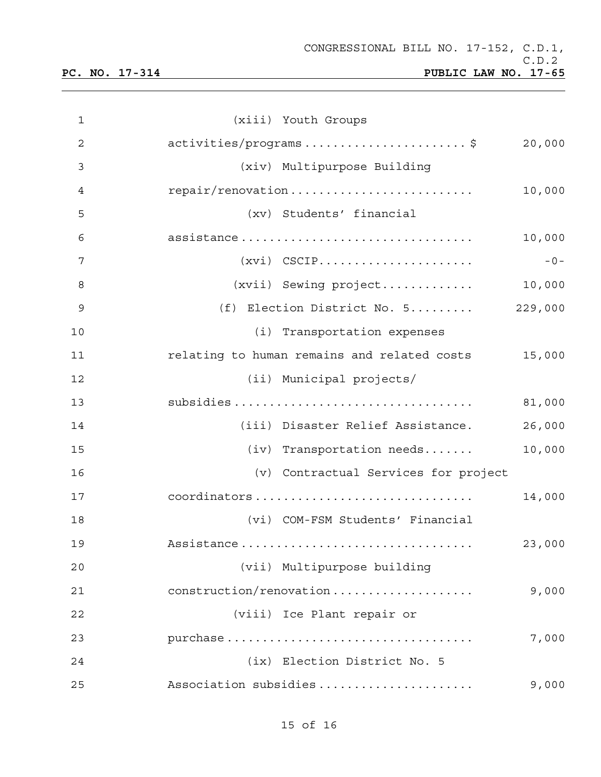| $\mathbf{1}$   | (xiii) Youth Groups                                   |
|----------------|-------------------------------------------------------|
| $\overline{c}$ | activities/programs\$<br>20,000                       |
| 3              | (xiv) Multipurpose Building                           |
| 4              | repair/renovation<br>10,000                           |
| 5              | (xv) Students' financial                              |
| 6              | assistance<br>10,000                                  |
| 7              | $(xvi)$ CSCIP<br>$-0-$                                |
| 8              | 10,000<br>$(xvii)$ Sewing $project$                   |
| 9              | (f) Election District No. 5<br>229,000                |
| 10             | (i) Transportation expenses                           |
| 11             | relating to human remains and related costs<br>15,000 |
| 12             | (ii) Municipal projects/                              |
| 13             | 81,000                                                |
| 14             | (iii) Disaster Relief Assistance.<br>26,000           |
| 15             | 10,000<br>$(iv)$ Transportation needs                 |
| 16             | (v) Contractual Services for project                  |
| 17             | coordinators<br>14,000                                |
| 18             | (vi) COM-FSM Students' Financial                      |
| 19             | Assistance<br>23,000                                  |
| 20             | (vii) Multipurpose building                           |
| 21             | 9,000<br>construction/renovation                      |
| 22             | (viii) Ice Plant repair or                            |
| 23             | purchase<br>7,000                                     |
| 24             | (ix) Election District No. 5                          |
| 25             | Association subsidies<br>9,000                        |